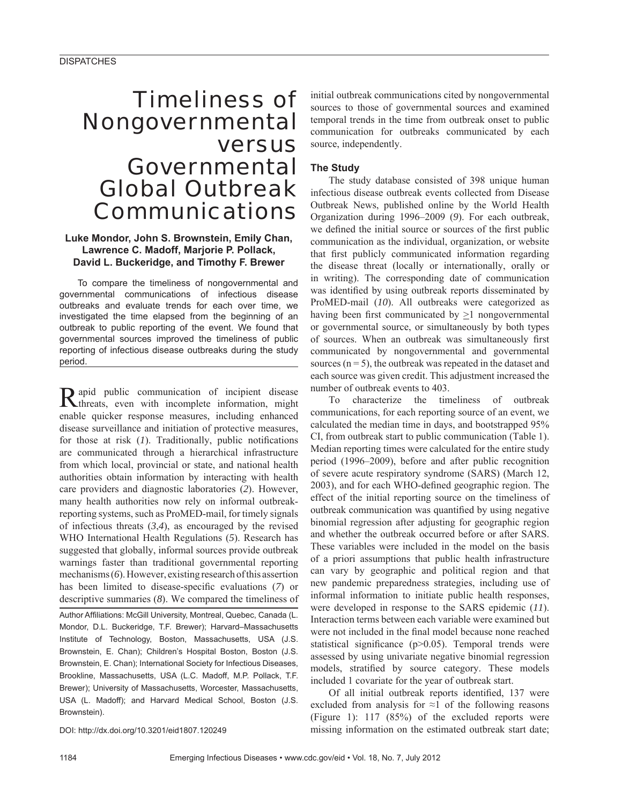# Timeliness of Nongovernmental versus Governmental Global Outbreak Communications

## **Luke Mondor, John S. Brownstein, Emily Chan, Lawrence C. Madoff, Marjorie P. Pollack, David L. Buckeridge, and Timothy F. Brewer**

To compare the timeliness of nongovernmental and governmental communications of infectious disease outbreaks and evaluate trends for each over time, we investigated the time elapsed from the beginning of an outbreak to public reporting of the event. We found that governmental sources improved the timeliness of public reporting of infectious disease outbreaks during the study period.

Rapid public communication of incipient disease threats, even with incomplete information, might enable quicker response measures, including enhanced disease surveillance and initiation of protective measures, for those at risk  $(I)$ . Traditionally, public notifications are communicated through a hierarchical infrastructure from which local, provincial or state, and national health authorities obtain information by interacting with health care providers and diagnostic laboratories (*2*). However, many health authorities now rely on informal outbreakreporting systems, such as ProMED-mail, for timely signals of infectious threats (*3*,*4*), as encouraged by the revised WHO International Health Regulations (*5*). Research has suggested that globally, informal sources provide outbreak warnings faster than traditional governmental reporting mechanisms (*6*). However, existing research of this assertion has been limited to disease-specific evaluations (7) or descriptive summaries (*8*). We compared the timeliness of

Author Affiliations: McGill University, Montreal, Quebec, Canada (L. Mondor, D.L. Buckeridge, T.F. Brewer); Harvard–Massachusetts Institute of Technology, Boston, Massachusetts, USA (J.S. Brownstein, E. Chan); Children's Hospital Boston, Boston (J.S. Brownstein, E. Chan); International Society for Infectious Diseases, Brookline, Massachusetts, USA (L.C. Madoff, M.P. Pollack, T.F. Brewer); University of Massachusetts, Worcester, Massachusetts, USA (L. Madoff); and Harvard Medical School, Boston (J.S. Brownstein).

initial outbreak communications cited by nongovernmental sources to those of governmental sources and examined temporal trends in the time from outbreak onset to public communication for outbreaks communicated by each source, independently.

## **The Study**

The study database consisted of 398 unique human infectious disease outbreak events collected from Disease Outbreak News, published online by the World Health Organization during 1996–2009 (*9*). For each outbreak, we defined the initial source or sources of the first public communication as the individual, organization, or website that first publicly communicated information regarding the disease threat (locally or internationally, orally or in writing). The corresponding date of communication was identified by using outbreak reports disseminated by ProMED-mail (*10*). All outbreaks were categorized as having been first communicated by  $>1$  nongovernmental or governmental source, or simultaneously by both types of sources. When an outbreak was simultaneously first communicated by nongovernmental and governmental sources  $(n = 5)$ , the outbreak was repeated in the dataset and each source was given credit. This adjustment increased the number of outbreak events to 403.

To characterize the timeliness of outbreak communications, for each reporting source of an event, we calculated the median time in days, and bootstrapped 95% CI, from outbreak start to public communication (Table 1). Median reporting times were calculated for the entire study period (1996–2009), before and after public recognition of severe acute respiratory syndrome (SARS) (March 12, 2003), and for each WHO-defined geographic region. The effect of the initial reporting source on the timeliness of outbreak communication was quantified by using negative binomial regression after adjusting for geographic region and whether the outbreak occurred before or after SARS. These variables were included in the model on the basis of a priori assumptions that public health infrastructure can vary by geographic and political region and that new pandemic preparedness strategies, including use of informal information to initiate public health responses, were developed in response to the SARS epidemic (*11*). Interaction terms between each variable were examined but were not included in the final model because none reached statistical significance  $(p>0.05)$ . Temporal trends were assessed by using univariate negative binomial regression models, stratified by source category. These models included 1 covariate for the year of outbreak start.

Of all initial outbreak reports identified, 137 were excluded from analysis for  $\approx$ 1 of the following reasons (Figure 1): 117 (85%) of the excluded reports were missing information on the estimated outbreak start date;

DOI: http://dx.doi.org/10.3201/eid1807.120249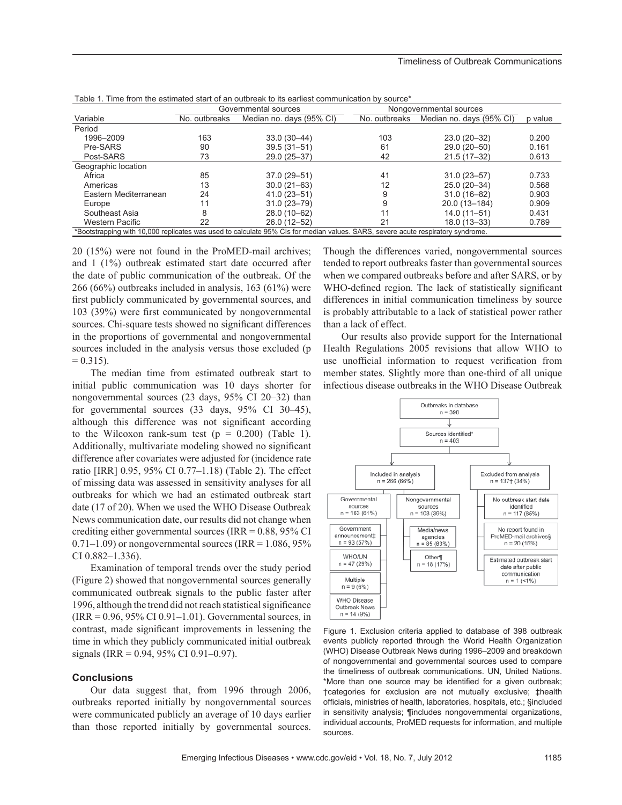|                                                                                                                                 | Governmental sources |                          | Nongovernmental sources |                          |         |  |
|---------------------------------------------------------------------------------------------------------------------------------|----------------------|--------------------------|-------------------------|--------------------------|---------|--|
| Variable                                                                                                                        | No. outbreaks        | Median no. days (95% CI) | No. outbreaks           | Median no. days (95% CI) | p value |  |
| Period                                                                                                                          |                      |                          |                         |                          |         |  |
| 1996-2009                                                                                                                       | 163                  | $33.0(30-44)$            | 103                     | $23.0(20-32)$            | 0.200   |  |
| Pre-SARS                                                                                                                        | 90                   | $39.5(31 - 51)$          | 61                      | 29.0 (20-50)             | 0.161   |  |
| Post-SARS                                                                                                                       | 73                   | 29.0 (25-37)             | 42                      | $21.5(17-32)$            | 0.613   |  |
| Geographic location                                                                                                             |                      |                          |                         |                          |         |  |
| Africa                                                                                                                          | 85                   | $37.0(29 - 51)$          | 41                      | $31.0(23 - 57)$          | 0.733   |  |
| Americas                                                                                                                        | 13                   | $30.0(21 - 63)$          | 12                      | 25.0 (20-34)             | 0.568   |  |
| Eastern Mediterranean                                                                                                           | 24                   | $41.0(23 - 51)$          | 9                       | $31.0(16 - 82)$          | 0.903   |  |
| Europe                                                                                                                          | 11                   | $31.0(23 - 79)$          | 9                       | 20.0 (13-184)            | 0.909   |  |
| Southeast Asia                                                                                                                  | 8                    | 28.0 (10-62)             |                         | $14.0(11 - 51)$          | 0.431   |  |
| <b>Western Pacific</b>                                                                                                          | 22                   | 26.0 (12-52)             | 21                      | 18.0 (13-33)             | 0.789   |  |
| *Bootstrapping with 10,000 replicates was used to calculate 95% CIs for median values. SARS, severe acute respiratory syndrome. |                      |                          |                         |                          |         |  |

| Table 1. Time from the estimated start of an outbreak to its earliest communication by source* |  |
|------------------------------------------------------------------------------------------------|--|
|------------------------------------------------------------------------------------------------|--|

20 (15%) were not found in the ProMED-mail archives; and 1 (1%) outbreak estimated start date occurred after the date of public communication of the outbreak. Of the 266 (66%) outbreaks included in analysis, 163 (61%) were first publicly communicated by governmental sources, and 103 (39%) were first communicated by nongovernmental sources. Chi-square tests showed no significant differences in the proportions of governmental and nongovernmental sources included in the analysis versus those excluded (p  $= 0.315$ ).

The median time from estimated outbreak start to initial public communication was 10 days shorter for nongovernmental sources (23 days, 95% CI 20–32) than for governmental sources (33 days, 95% CI 30–45), although this difference was not significant according to the Wilcoxon rank-sum test  $(p = 0.200)$  (Table 1). Additionally, multivariate modeling showed no significant difference after covariates were adjusted for (incidence rate ratio [IRR] 0.95, 95% CI 0.77–1.18) (Table 2). The effect of missing data was assessed in sensitivity analyses for all outbreaks for which we had an estimated outbreak start date (17 of 20). When we used the WHO Disease Outbreak News communication date, our results did not change when crediting either governmental sources (IRR = 0.88, 95% CI  $0.71-1.09$ ) or nongovernmental sources (IRR = 1.086, 95%) CI 0.882–1.336).

Examination of temporal trends over the study period (Figure 2) showed that nongovernmental sources generally communicated outbreak signals to the public faster after 1996, although the trend did not reach statistical significance  $(IRR = 0.96, 95\% CI 0.91–1.01)$ . Governmental sources, in contrast, made significant improvements in lessening the time in which they publicly communicated initial outbreak signals (IRR = 0.94, 95% CI 0.91–0.97).

#### **Conclusions**

Our data suggest that, from 1996 through 2006, outbreaks reported initially by nongovernmental sources were communicated publicly an average of 10 days earlier than those reported initially by governmental sources.

Though the differences varied, nongovernmental sources tended to report outbreaks faster than governmental sources when we compared outbreaks before and after SARS, or by WHO-defined region. The lack of statistically significant differences in initial communication timeliness by source is probably attributable to a lack of statistical power rather than a lack of effect.

Our results also provide support for the International Health Regulations 2005 revisions that allow WHO to use unofficial information to request verification from member states. Slightly more than one-third of all unique infectious disease outbreaks in the WHO Disease Outbreak



Figure 1. Exclusion criteria applied to database of 398 outbreak events publicly reported through the World Health Organization (WHO) Disease Outbreak News during 1996–2009 and breakdown of nongovernmental and governmental sources used to compare the timeliness of outbreak communications. UN, United Nations. \*More than one source may be identified for a given outbreak; †categories for exclusion are not mutually exclusive; ‡health officials, ministries of health, laboratories, hospitals, etc.; §included in sensitivity analysis; ¶includes nongovernmental organizations, individual accounts, ProMED requests for information, and multiple sources.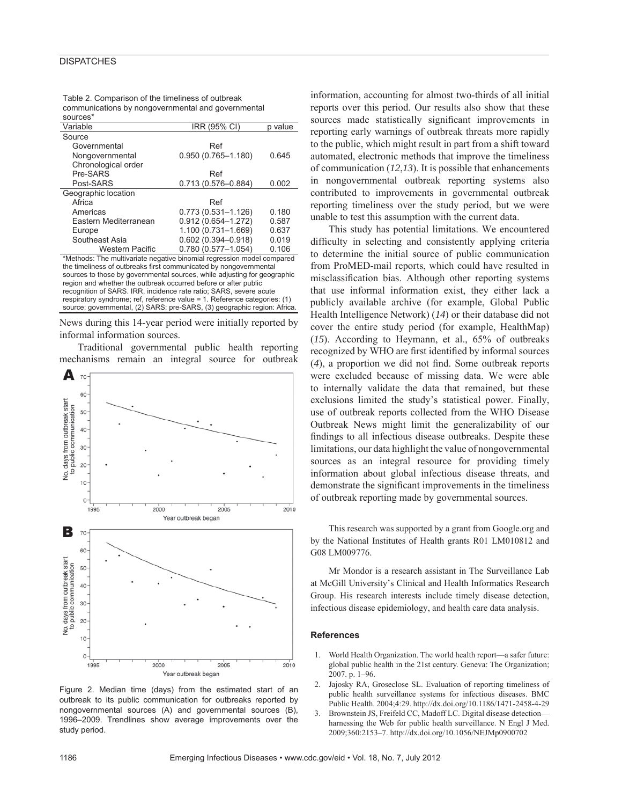## **DISPATCHES**

| Table 2. Comparison of the timeliness of outbreak  |
|----------------------------------------------------|
| communications by nongovernmental and governmental |

| sources*                                                               |                        |         |  |  |  |
|------------------------------------------------------------------------|------------------------|---------|--|--|--|
| Variable                                                               | IRR (95% CI)           | p value |  |  |  |
| Source                                                                 |                        |         |  |  |  |
| Governmental                                                           | Ref                    |         |  |  |  |
| Nongovernmental                                                        | $0.950(0.765 - 1.180)$ | 0.645   |  |  |  |
| Chronological order                                                    |                        |         |  |  |  |
| Pre-SARS                                                               | Ref                    |         |  |  |  |
| Post-SARS                                                              | 0.713 (0.576-0.884)    | 0.002   |  |  |  |
| Geographic location                                                    |                        |         |  |  |  |
| Africa                                                                 | Ref                    |         |  |  |  |
| Americas                                                               | $0.773(0.531 - 1.126)$ | 0.180   |  |  |  |
| Eastern Mediterranean                                                  | $0.912(0.654 - 1.272)$ | 0.587   |  |  |  |
| Europe                                                                 | 1.100 (0.731-1.669)    | 0.637   |  |  |  |
| Southeast Asia                                                         | $0.602(0.394 - 0.918)$ | 0.019   |  |  |  |
| <b>Western Pacific</b>                                                 | $0.780(0.577 - 1.054)$ | 0.106   |  |  |  |
| *Methods: The multivariate negative binomial regression model compared |                        |         |  |  |  |
|                                                                        |                        |         |  |  |  |

the timeliness of outbreaks first communicated by nongovernmental sources to those by governmental sources, while adjusting for geographic region and whether the outbreak occurred before or after public recognition of SARS. IRR, incidence rate ratio; SARS, severe acute respiratory syndrome; ref, reference value = 1. Reference categories: (1) source: governmental, (2) SARS: pre-SARS, (3) geographic region: Africa.

News during this 14-year period were initially reported by informal information sources.

Traditional governmental public health reporting mechanisms remain an integral source for outbreak



Figure 2. Median time (days) from the estimated start of an outbreak to its public communication for outbreaks reported by nongovernmental sources (A) and governmental sources (B), 1996–2009. Trendlines show average improvements over the study period.

information, accounting for almost two-thirds of all initial reports over this period. Our results also show that these sources made statistically significant improvements in reporting early warnings of outbreak threats more rapidly to the public, which might result in part from a shift toward automated, electronic methods that improve the timeliness of communication (*12*,*13*). It is possible that enhancements in nongovernmental outbreak reporting systems also contributed to improvements in governmental outbreak reporting timeliness over the study period, but we were unable to test this assumption with the current data.

This study has potential limitations. We encountered difficulty in selecting and consistently applying criteria to determine the initial source of public communication from ProMED-mail reports, which could have resulted in misclassification bias. Although other reporting systems that use informal information exist, they either lack a publicly available archive (for example, Global Public Health Intelligence Network) (*14*) or their database did not cover the entire study period (for example, HealthMap) (*15*). According to Heymann, et al., 65% of outbreaks recognized by WHO are first identified by informal sources (4), a proportion we did not find. Some outbreak reports were excluded because of missing data. We were able to internally validate the data that remained, but these exclusions limited the study's statistical power. Finally, use of outbreak reports collected from the WHO Disease Outbreak News might limit the generalizability of our findings to all infectious disease outbreaks. Despite these limitations, our data highlight the value of nongovernmental sources as an integral resource for providing timely information about global infectious disease threats, and demonstrate the significant improvements in the timeliness of outbreak reporting made by governmental sources.

This research was supported by a grant from Google.org and by the National Institutes of Health grants R01 LM010812 and G08 LM009776.

Mr Mondor is a research assistant in The Surveillance Lab at McGill University's Clinical and Health Informatics Research Group. His research interests include timely disease detection, infectious disease epidemiology, and health care data analysis.

#### **References**

- 1. World Health Organization. The world health report—a safer future: global public health in the 21st century. Geneva: The Organization; 2007. p. 1–96.
- Jajosky RA, Groseclose SL. Evaluation of reporting timeliness of public health surveillance systems for infectious diseases. BMC Public Health. 2004;4:29. http://dx.doi.org/10.1186/1471-2458-4-29
- 3. Brownstein JS, Freifeld CC, Madoff LC. Digital disease detection harnessing the Web for public health surveillance. N Engl J Med. 2009;360:2153–7. http://dx.doi.org/10.1056/NEJMp0900702